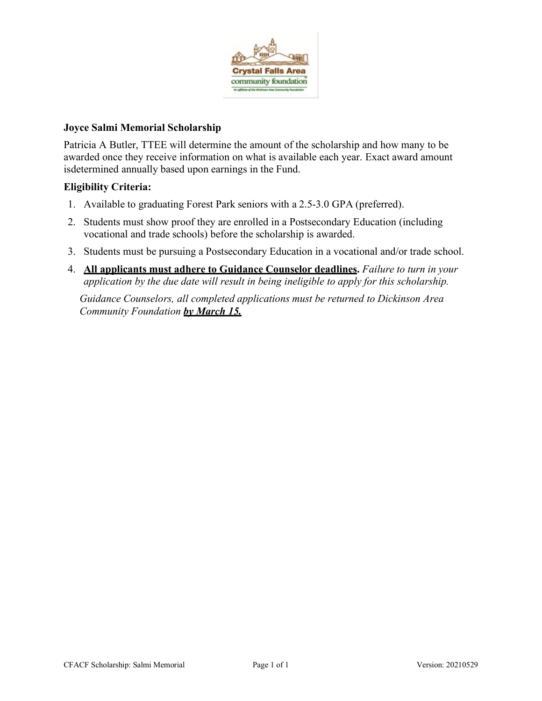

### **Joyce Salmi Memorial Scholarship**

Patricia A Butler, TTEE will determine the amount of the scholarship and how many to be awarded once they receive information on what is available each year. Exact award amount isdetermined annually based upon earnings in the Fund.

## **Eligibility Criteria:**

- 1. Available to graduating Forest Park seniors with a 2.5-3.0 GPA (preferred).
- 2. Students must show proof they are enrolled in a Postsecondary Education (including vocational and trade schools) before the scholarship is awarded.
- 3. Students must be pursuing a Postsecondary Education in a vocational and/or trade school.
- 4. **All applicants must adhere to Guidance Counselor deadlines.** *Failure to turn in your application by the due date will result in being ineligible to apply for this scholarship.*

*Guidance Counselors, all completed applications must be returned to Dickinson Area Community Foundation by March 15.*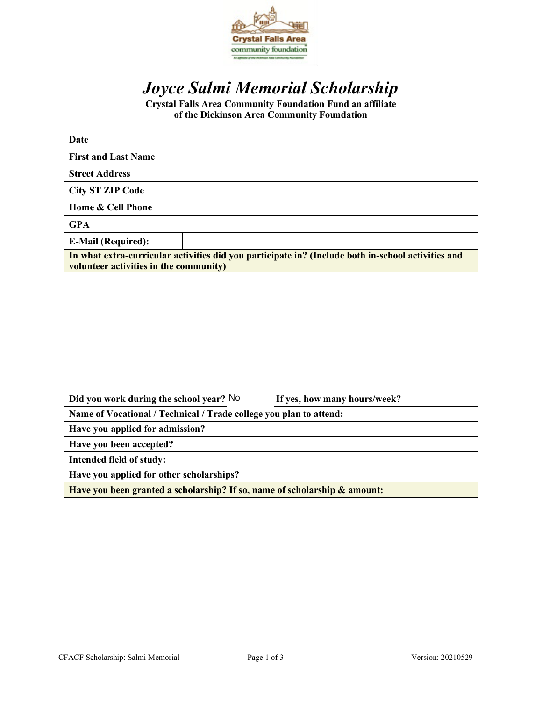

# *Joyce Salmi Memorial Scholarship*

**Crystal Falls Area Community Foundation Fund an affiliate of the Dickinson Area Community Foundation**

| <b>Date</b>                                                               |  |                                                                                                    |
|---------------------------------------------------------------------------|--|----------------------------------------------------------------------------------------------------|
| <b>First and Last Name</b>                                                |  |                                                                                                    |
| <b>Street Address</b>                                                     |  |                                                                                                    |
| <b>City ST ZIP Code</b>                                                   |  |                                                                                                    |
| Home & Cell Phone                                                         |  |                                                                                                    |
| <b>GPA</b>                                                                |  |                                                                                                    |
| <b>E-Mail (Required):</b>                                                 |  |                                                                                                    |
| volunteer activities in the community)                                    |  | In what extra-curricular activities did you participate in? (Include both in-school activities and |
|                                                                           |  |                                                                                                    |
| Did you work during the school year? No                                   |  | If yes, how many hours/week?                                                                       |
| Name of Vocational / Technical / Trade college you plan to attend:        |  |                                                                                                    |
| Have you applied for admission?                                           |  |                                                                                                    |
| Have you been accepted?                                                   |  |                                                                                                    |
| Intended field of study:                                                  |  |                                                                                                    |
| Have you applied for other scholarships?                                  |  |                                                                                                    |
| Have you been granted a scholarship? If so, name of scholarship & amount: |  |                                                                                                    |
|                                                                           |  |                                                                                                    |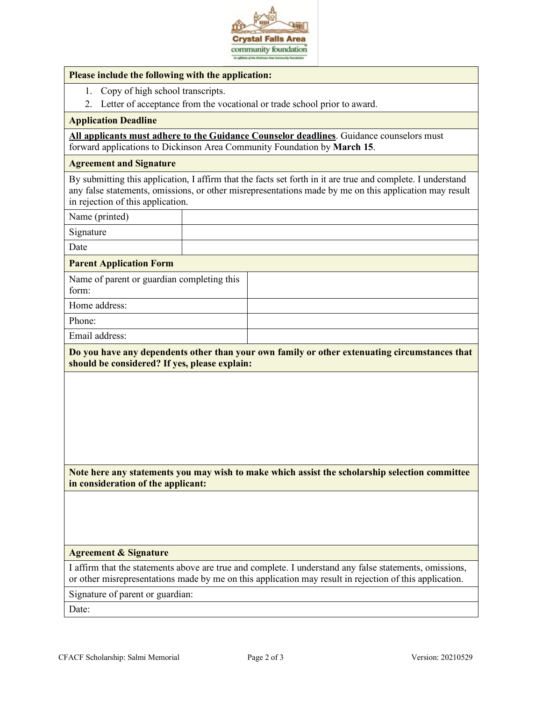

#### **Please include the following with the application:**

- 1. Copy of high school transcripts.
- 2. Letter of acceptance from the vocational or trade school prior to award.

#### **Application Deadline**

**All applicants must adhere to the Guidance Counselor deadlines**. Guidance counselors must forward applications to Dickinson Area Community Foundation by **March 15**.

#### **Agreement and Signature**

By submitting this application, I affirm that the facts set forth in it are true and complete. I understand any false statements, omissions, or other misrepresentations made by me on this application may result in rejection of this application.

Name (printed)

Signature

Date

#### **Parent Application Form**

Name of parent or guardian completing this form: Home address:

Phone:

Email address:

**Do you have any dependents other than your own family or other extenuating circumstances that should be considered? If yes, please explain:**

**Note here any statements you may wish to make which assist the scholarship selection committee in consideration of the applicant:**

#### **Agreement & Signature**

I affirm that the statements above are true and complete. I understand any false statements, omissions, or other misrepresentations made by me on this application may result in rejection of this application.

Signature of parent or guardian:

Date: